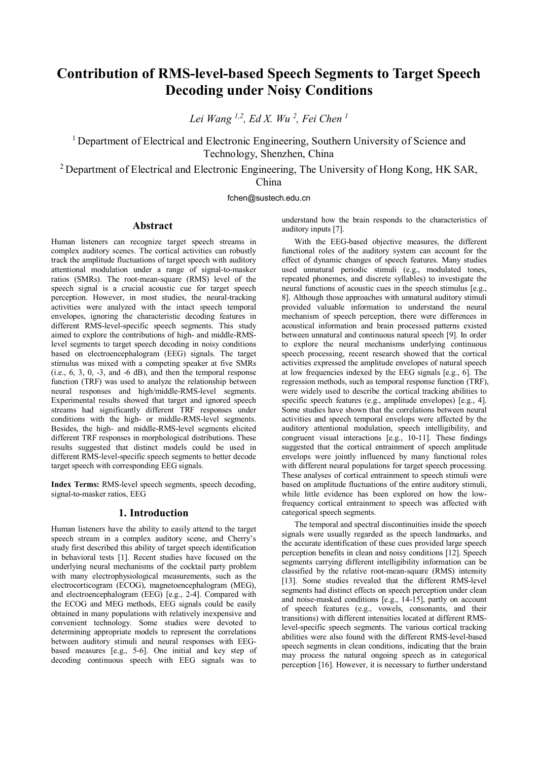# Contribution of RMS-level-based Speech Segments to Target Speech Decoding under Noisy Conditions

*Lei Wang 1,2, Ed X. Wu 2 , Fei Chen 1*

<sup>1</sup> Department of Electrical and Electronic Engineering, Southern University of Science and Technology, Shenzhen, China

<sup>2</sup> Department of Electrical and Electronic Engineering, The University of Hong Kong, HK SAR, China

fchen@sustech.edu.cn

#### Abstract

Human listeners can recognize target speech streams in complex auditory scenes. The cortical activities can robustly track the amplitude fluctuations of target speech with auditory attentional modulation under a range of signal-to-masker ratios (SMRs). The root-mean-square (RMS) level of the speech signal is a crucial acoustic cue for target speech perception. However, in most studies, the neural-tracking activities were analyzed with the intact speech temporal envelopes, ignoring the characteristic decoding features in different RMS-level-specific speech segments. This study aimed to explore the contributions of high- and middle-RMSlevel segments to target speech decoding in noisy conditions based on electroencephalogram (EEG) signals. The target stimulus was mixed with a competing speaker at five SMRs  $(i.e., 6, 3, 0, -3, and -6 dB)$ , and then the temporal response function (TRF) was used to analyze the relationship between neural responses and high/middle-RMS-level segments. Experimental results showed that target and ignored speech streams had significantly different TRF responses under conditions with the high- or middle-RMS-level segments. Besides, the high- and middle-RMS-level segments elicited different TRF responses in morphological distributions. These results suggested that distinct models could be used in different RMS-level-specific speech segments to better decode target speech with corresponding EEG signals.

Index Terms: RMS-level speech segments, speech decoding, signal-to-masker ratios, EEG

## 1. Introduction

Human listeners have the ability to easily attend to the target speech stream in a complex auditory scene, and Cherry's study first described this ability of target speech identification in behavioral tests [1]. Recent studies have focused on the underlying neural mechanisms of the cocktail party problem with many electrophysiological measurements, such as the electrocorticogram (ECOG), magnetoencephalogram (MEG), and electroencephalogram (EEG) [e.g., 2-4]. Compared with the ECOG and MEG methods, EEG signals could be easily obtained in many populations with relatively inexpensive and convenient technology. Some studies were devoted to determining appropriate models to represent the correlations between auditory stimuli and neural responses with EEGbased measures [e.g., 5-6]. One initial and key step of decoding continuous speech with EEG signals was to understand how the brain responds to the characteristics of auditory inputs [7].

With the EEG-based objective measures, the different functional roles of the auditory system can account for the effect of dynamic changes of speech features. Many studies used unnatural periodic stimuli (e.g., modulated tones, repeated phonemes, and discrete syllables) to investigate the neural functions of acoustic cues in the speech stimulus [e.g., 8]. Although those approaches with unnatural auditory stimuli provided valuable information to understand the neural mechanism of speech perception, there were differences in acoustical information and brain processed patterns existed between unnatural and continuous natural speech [9]. In order to explore the neural mechanisms underlying continuous speech processing, recent research showed that the cortical activities expressed the amplitude envelopes of natural speech at low frequencies indexed by the EEG signals [e.g., 6]. The regression methods, such as temporal response function (TRF), were widely used to describe the cortical tracking abilities to specific speech features (e.g., amplitude envelopes) [e.g., 4]. Some studies have shown that the correlations between neural activities and speech temporal envelops were affected by the auditory attentional modulation, speech intelligibility, and congruent visual interactions [e.g., 10-11]. These findings suggested that the cortical entrainment of speech amplitude envelops were jointly influenced by many functional roles with different neural populations for target speech processing. These analyses of cortical entrainment to speech stimuli were based on amplitude fluctuations of the entire auditory stimuli, while little evidence has been explored on how the lowfrequency cortical entrainment to speech was affected with categorical speech segments.

The temporal and spectral discontinuities inside the speech signals were usually regarded as the speech landmarks, and the accurate identification of these cues provided large speech perception benefits in clean and noisy conditions [12]. Speech segments carrying different intelligibility information can be classified by the relative root-mean-square (RMS) intensity [13]. Some studies revealed that the different RMS-level] segments had distinct effects on speech perception under clean and noise-masked conditions [e.g., 14-15], partly on account of speech features (e.g., vowels, consonants, and their transitions) with different intensities located at different RMSlevel-specific speech segments. The various cortical tracking abilities were also found with the different RMS-level-based speech segments in clean conditions, indicating that the brain may process the natural ongoing speech as in categorical perception [16]. However, it is necessary to further understand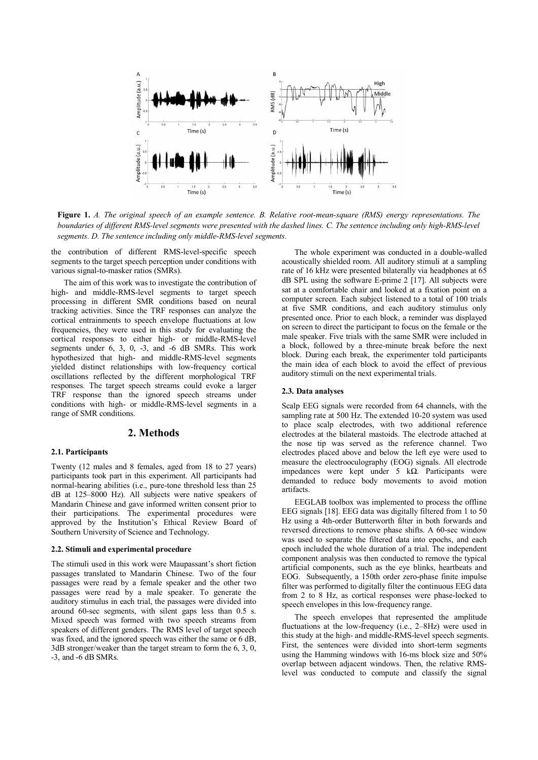

Figure 1. *A. The original speech of an example sentence. B. Relative root-mean-square (RMS) energy representations. The*  boundaries of different RMS-level segments were presented with the dashed lines. C. The sentence including only high-RMS-level *segments. D. The sentence including only middle-RMS-level segments.* 

the contribution of different RMS-level-specific speech segments to the target speech perception under conditions with various signal-to-masker ratios (SMRs).

The aim of this work was to investigate the contribution of high- and middle-RMS-level segments to target speech processing in different SMR conditions based on neural tracking activities. Since the TRF responses can analyze the cortical entrainments to speech envelope fluctuations at low frequencies, they were used in this study for evaluating the cortical responses to either high- or middle-RMS-level segments under 6, 3, 0, -3, and -6 dB SMRs. This work hypothesized that high- and middle-RMS-level segments yielded distinct relationships with low-frequency cortical oscillations reflected by the different morphological TRF responses. The target speech streams could evoke a larger TRF response than the ignored speech streams under conditions with high- or middle-RMS-level segments in a range of SMR conditions.

#### 2. Methods

#### 2.1. Participants

Twenty (12 males and 8 females, aged from 18 to 27 years) participants took part in this experiment. All participants had normal-hearing abilities (i.e., pure-tone threshold less than 25 dB at 125–8000 Hz). All subjects were native speakers of Mandarin Chinese and gave informed written consent prior to their participations. The experimental procedures were approved by the Institution's Ethical Review Board of Southern University of Science and Technology.

#### 2.2. Stimuli and experimental procedure

The stimuli used in this work were Maupassant's short fiction passages translated to Mandarin Chinese. Two of the four passages were read by a female speaker and the other two passages were read by a male speaker. To generate the auditory stimulus in each trial, the passages were divided into around 60-sec segments, with silent gaps less than 0.5 s. Mixed speech was formed with two speech streams from speakers of different genders. The RMS level of target speech was fixed, and the ignored speech was either the same or 6 dB, 3dB stronger/weaker than the target stream to form the 6, 3, 0, -3, and -6 dB SMRs.

The whole experiment was conducted in a double-walled acoustically shielded room. All auditory stimuli at a sampling rate of 16 kHz were presented bilaterally via headphones at 65 dB SPL using the software E-prime 2 [17]. All subjects were sat at a comfortable chair and looked at a fixation point on a computer screen. Each subject listened to a total of 100 trials at five SMR conditions, and each auditory stimulus only presented once. Prior to each block, a reminder was displayed on screen to direct the participant to focus on the female or the male speaker. Five trials with the same SMR were included in a block, followed by a three-minute break before the next block. During each break, the experimenter told participants the main idea of each block to avoid the effect of previous auditory stimuli on the next experimental trials.

#### 2.3. Data analyses

Scalp EEG signals were recorded from 64 channels, with the sampling rate at 500 Hz. The extended 10-20 system was used to place scalp electrodes, with two additional reference electrodes at the bilateral mastoids. The electrode attached at the nose tip was served as the reference channel. Two electrodes placed above and below the left eye were used to measure the electrooculography (EOG) signals. All electrode impedances were kept under 5 kΩ. Participants were demanded to reduce body movements to avoid motion artifacts.

EEGLAB toolbox was implemented to process the offline EEG signals [18]. EEG data was digitally filtered from 1 to 50 Hz using a 4th-order Butterworth filter in both forwards and reversed directions to remove phase shifts. A 60-sec window was used to separate the filtered data into epochs, and each epoch included the whole duration of a trial. The independent component analysis was then conducted to remove the typical artificial components, such as the eye blinks, heartbeats and EOG. Subsequently, a 150th order zero-phase finite impulse filter was performed to digitally filter the continuous EEG data from 2 to 8 Hz, as cortical responses were phase-locked to speech envelopes in this low-frequency range.

The speech envelopes that represented the amplitude fluctuations at the low-frequency (i.e., 2–8Hz) were used in this study at the high- and middle-RMS-level speech segments. First, the sentences were divided into short-term segments using the Hamming windows with 16-ms block size and 50% overlap between adjacent windows. Then, the relative RMSlevel was conducted to compute and classify the signal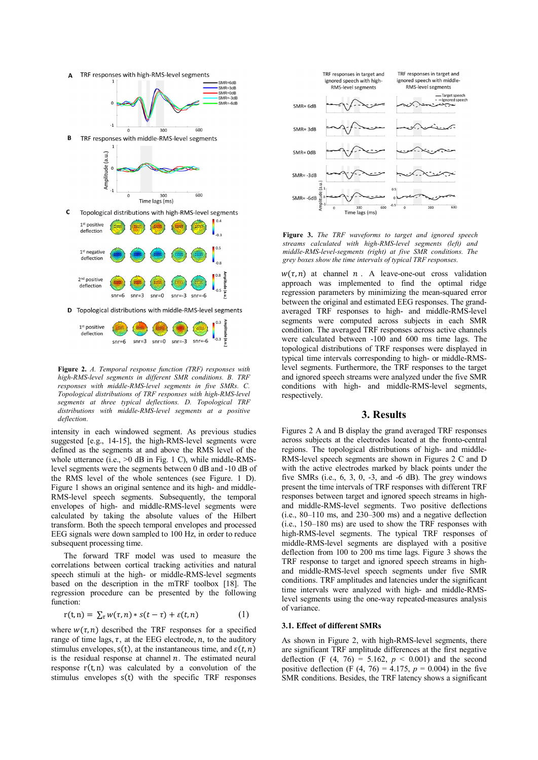



Figure 2. *A. Temporal response function (TRF) responses with high-RMS-level segments in different SMR conditions. B. TRF responses with middle-RMS-level segments in five SMRs. C. Topological distributions of TRF responses with high-RMS-level segments at three typical deflections. D. Topological TRF distributions with middle-RMS-level segments at a positive deflection.* 

intensity in each windowed segment. As previous studies suggested [e.g., 14-15], the high-RMS-level segments were defined as the segments at and above the RMS level of the whole utterance (i.e.,  $>0$  dB in Fig. 1 C), while middle-RMSlevel segments were the segments between 0 dB and -10 dB of the RMS level of the whole sentences (see Figure. 1 D). Figure 1 shows an original sentence and its high- and middle-RMS-level speech segments. Subsequently, the temporal envelopes of high- and middle-RMS-level segments were calculated by taking the absolute values of the Hilbert transform. Both the speech temporal envelopes and processed EEG signals were down sampled to 100 Hz, in order to reduce subsequent processing time.

The forward TRF model was used to measure the correlations between cortical tracking activities and natural speech stimuli at the high- or middle-RMS-level segments based on the description in the mTRF toolbox [18]. The regression procedure can be presented by the following function:

$$
r(t,n) = \sum_{\tau} w(\tau,n) * s(t-\tau) + \varepsilon(t,n) \tag{1}
$$

where  $w(\tau, n)$  described the TRF responses for a specified range of time lags,  $\tau$ , at the EEG electrode,  $n$ , to the auditory stimulus envelopes,  $s(t)$ , at the instantaneous time, and  $\varepsilon(t, n)$ is the residual response at channel  $n$ . The estimated neural response  $r(t, n)$  was calculated by a convolution of the stimulus envelopes s(t) with the specific TRF responses



Figure 3. *The TRF waveforms to target and ignored speech streams calculated with high-RMS-level segments (left) and middle-RMS-level-segments (right) at five SMR conditions. The grey boxes show the time intervals of typical TRF responses.*

 $w(\tau, n)$  at channel  $n$ . A leave-one-out cross validation approach was implemented to find the optimal ridge regression parameters by minimizing the mean-squared error between the original and estimated EEG responses. The grandaveraged TRF responses to high- and middle-RMS-level segments were computed across subjects in each SMR condition. The averaged TRF responses across active channels were calculated between -100 and 600 ms time lags. The topological distributions of TRF responses were displayed in typical time intervals corresponding to high- or middle-RMSlevel segments. Furthermore, the TRF responses to the target and ignored speech streams were analyzed under the five SMR conditions with high- and middle-RMS-level segments, respectively.

#### 3. Results

Figures 2 A and B display the grand averaged TRF responses across subjects at the electrodes located at the fronto-central regions. The topological distributions of high- and middle-RMS-level speech segments are shown in Figures 2 C and D with the active electrodes marked by black points under the five SMRs (i.e., 6, 3, 0, -3, and -6 dB). The grey windows present the time intervals of TRF responses with different TRF responses between target and ignored speech streams in highand middle-RMS-level segments. Two positive deflections (i.e., 80–110 ms, and 230–300 ms) and a negative deflection (i.e., 150–180 ms) are used to show the TRF responses with high-RMS-level segments. The typical TRF responses of middle-RMS-level segments are displayed with a positive deflection from 100 to 200 ms time lags. Figure 3 shows the TRF response to target and ignored speech streams in highand middle-RMS-level speech segments under five SMR conditions. TRF amplitudes and latencies under the significant time intervals were analyzed with high- and middle-RMSlevel segments using the one-way repeated-measures analysis of variance.

## 3.1. Effect of different SMRs

As shown in Figure 2, with high-RMS-level segments, there are significant TRF amplitude differences at the first negative deflection (F  $(4, 76) = 5.162$ ,  $p < 0.001$ ) and the second positive deflection (F  $(4, 76) = 4.175$ ,  $p = 0.004$ ) in the five SMR conditions. Besides, the TRF latency shows a significant